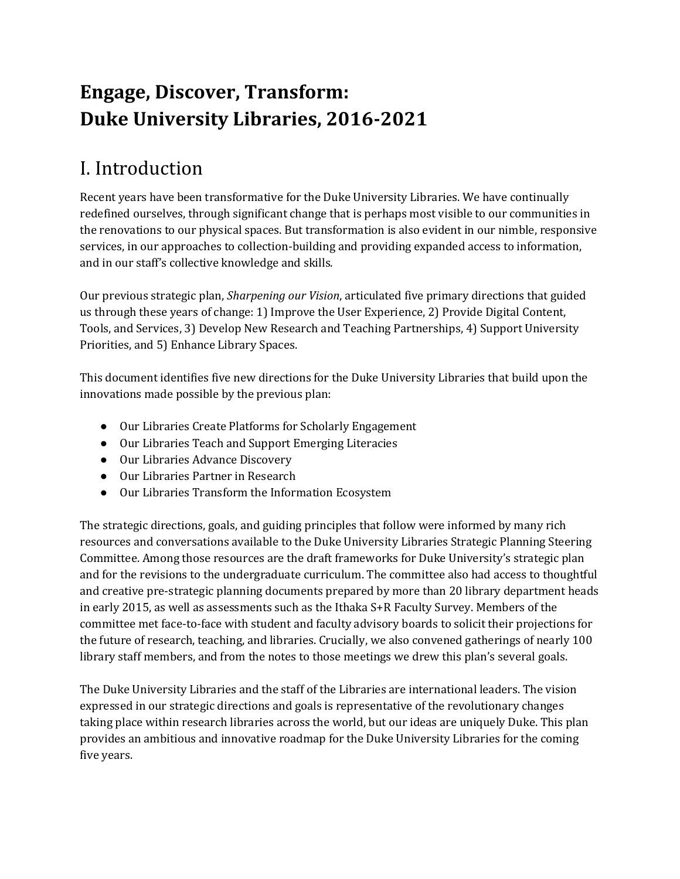# **Engage, Discover, Transform: Duke University Libraries, 2016-2021**

# I. Introduction

Recent years have been transformative for the Duke University Libraries. We have continually redefined ourselves, through significant change that is perhaps most visible to our communities in the renovations to our physical spaces. But transformation is also evident in our nimble, responsive services, in our approaches to collection-building and providing expanded access to information, and in our staff's collective knowledge and skills.

Our previous strategic plan, *Sharpening our Vision*, articulated five primary directions that guided us through these years of change: 1) Improve the User Experience, 2) Provide Digital Content, Tools, and Services, 3) Develop New Research and Teaching Partnerships, 4) Support University Priorities, and 5) Enhance Library Spaces.

This document identifies five new directions for the Duke University Libraries that build upon the innovations made possible by the previous plan:

- Our Libraries Create Platforms for Scholarly Engagement
- Our Libraries Teach and Support Emerging Literacies
- Our Libraries Advance Discovery
- Our Libraries Partner in Research
- Our Libraries Transform the Information Ecosystem

The strategic directions, goals, and guiding principles that follow were informed by many rich resources and conversations available to the Duke University Libraries Strategic Planning Steering Committee. Among those resources are the draft frameworks for Duke University's strategic plan and for the revisions to the undergraduate curriculum. The committee also had access to thoughtful and creative pre-strategic planning documents prepared by more than 20 library department heads in early 2015, as well as assessments such as the Ithaka S+R Faculty Survey. Members of the committee met face-to-face with student and faculty advisory boards to solicit their projections for the future of research, teaching, and libraries. Crucially, we also convened gatherings of nearly 100 library staff members, and from the notes to those meetings we drew this plan's several goals.

The Duke University Libraries and the staff of the Libraries are international leaders. The vision expressed in our strategic directions and goals is representative of the revolutionary changes taking place within research libraries across the world, but our ideas are uniquely Duke. This plan provides an ambitious and innovative roadmap for the Duke University Libraries for the coming five years.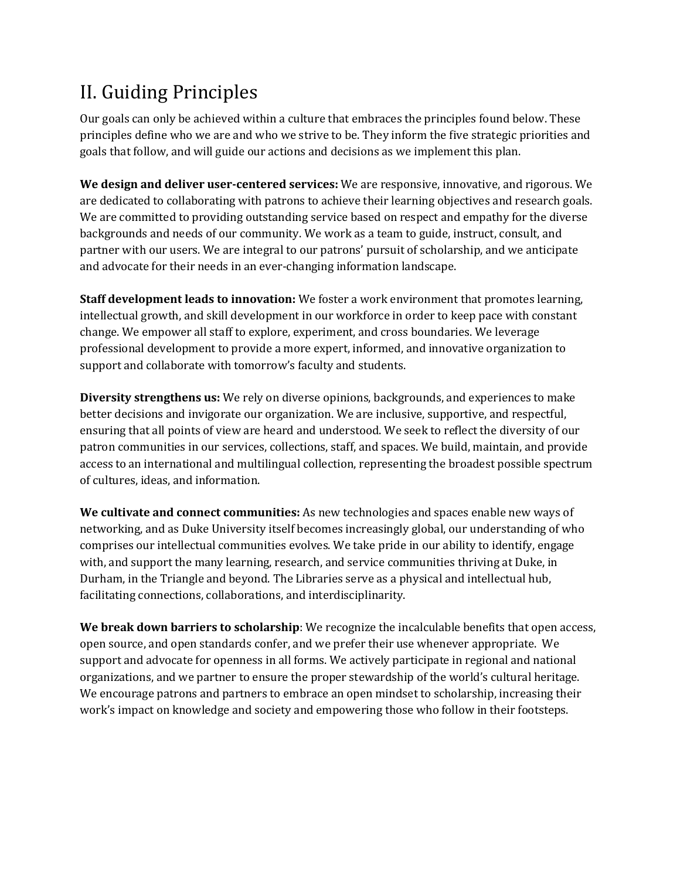# II. Guiding Principles

Our goals can only be achieved within a culture that embraces the principles found below. These principles define who we are and who we strive to be. They inform the five strategic priorities and goals that follow, and will guide our actions and decisions as we implement this plan.

**We design and deliver user-centered services:** We are responsive, innovative, and rigorous. We are dedicated to collaborating with patrons to achieve their learning objectives and research goals. We are committed to providing outstanding service based on respect and empathy for the diverse backgrounds and needs of our community. We work as a team to guide, instruct, consult, and partner with our users. We are integral to our patrons' pursuit of scholarship, and we anticipate and advocate for their needs in an ever-changing information landscape.

**Staff development leads to innovation:** We foster a work environment that promotes learning, intellectual growth, and skill development in our workforce in order to keep pace with constant change. We empower all staff to explore, experiment, and cross boundaries. We leverage professional development to provide a more expert, informed, and innovative organization to support and collaborate with tomorrow's faculty and students.

**Diversity strengthens us:** We rely on diverse opinions, backgrounds, and experiences to make better decisions and invigorate our organization. We are inclusive, supportive, and respectful, ensuring that all points of view are heard and understood. We seek to reflect the diversity of our patron communities in our services, collections, staff, and spaces. We build, maintain, and provide access to an international and multilingual collection, representing the broadest possible spectrum of cultures, ideas, and information.

**We cultivate and connect communities:** As new technologies and spaces enable new ways of networking, and as Duke University itself becomes increasingly global, our understanding of who comprises our intellectual communities evolves. We take pride in our ability to identify, engage with, and support the many learning, research, and service communities thriving at Duke, in Durham, in the Triangle and beyond. The Libraries serve as a physical and intellectual hub, facilitating connections, collaborations, and interdisciplinarity.

**We break down barriers to scholarship**: We recognize the incalculable benefits that open access, open source, and open standards confer, and we prefer their use whenever appropriate. We support and advocate for openness in all forms. We actively participate in regional and national organizations, and we partner to ensure the proper stewardship of the world's cultural heritage. We encourage patrons and partners to embrace an open mindset to scholarship, increasing their work's impact on knowledge and society and empowering those who follow in their footsteps.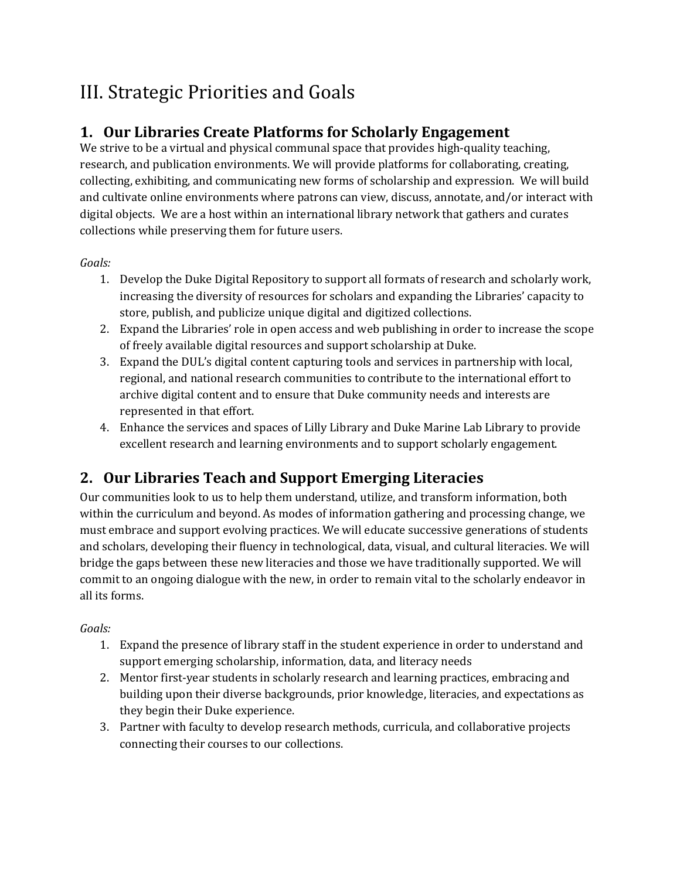# III. Strategic Priorities and Goals

### **1. Our Libraries Create Platforms for Scholarly Engagement**

We strive to be a virtual and physical communal space that provides high-quality teaching, research, and publication environments. We will provide platforms for collaborating, creating, collecting, exhibiting, and communicating new forms of scholarship and expression. We will build and cultivate online environments where patrons can view, discuss, annotate, and/or interact with digital objects. We are a host within an international library network that gathers and curates collections while preserving them for future users.

#### *Goals:*

- 1. Develop the Duke Digital Repository to support all formats of research and scholarly work, increasing the diversity of resources for scholars and expanding the Libraries' capacity to store, publish, and publicize unique digital and digitized collections.
- 2. Expand the Libraries' role in open access and web publishing in order to increase the scope of freely available digital resources and support scholarship at Duke.
- 3. Expand the DUL's digital content capturing tools and services in partnership with local, regional, and national research communities to contribute to the international effort to archive digital content and to ensure that Duke community needs and interests are represented in that effort.
- 4. Enhance the services and spaces of Lilly Library and Duke Marine Lab Library to provide excellent research and learning environments and to support scholarly engagement.

## **2. Our Libraries Teach and Support Emerging Literacies**

Our communities look to us to help them understand, utilize, and transform information, both within the curriculum and beyond. As modes of information gathering and processing change, we must embrace and support evolving practices. We will educate successive generations of students and scholars, developing their fluency in technological, data, visual, and cultural literacies. We will bridge the gaps between these new literacies and those we have traditionally supported. We will commit to an ongoing dialogue with the new, in order to remain vital to the scholarly endeavor in all its forms.

#### *Goals:*

- 1. Expand the presence of library staff in the student experience in order to understand and support emerging scholarship, information, data, and literacy needs
- 2. Mentor first-year students in scholarly research and learning practices, embracing and building upon their diverse backgrounds, prior knowledge, literacies, and expectations as they begin their Duke experience.
- 3. Partner with faculty to develop research methods, curricula, and collaborative projects connecting their courses to our collections.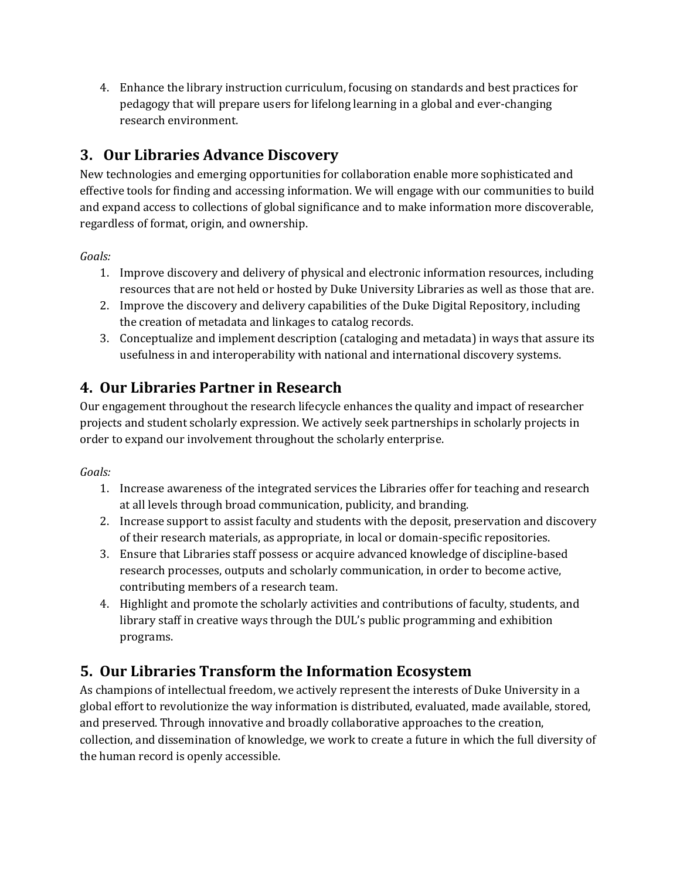4. Enhance the library instruction curriculum, focusing on standards and best practices for pedagogy that will prepare users for lifelong learning in a global and ever-changing research environment.

### **3. Our Libraries Advance Discovery**

New technologies and emerging opportunities for collaboration enable more sophisticated and effective tools for finding and accessing information. We will engage with our communities to build and expand access to collections of global significance and to make information more discoverable, regardless of format, origin, and ownership.

*Goals:*

- 1. Improve discovery and delivery of physical and electronic information resources, including resources that are not held or hosted by Duke University Libraries as well as those that are.
- 2. Improve the discovery and delivery capabilities of the Duke Digital Repository, including the creation of metadata and linkages to catalog records.
- 3. Conceptualize and implement description (cataloging and metadata) in ways that assure its usefulness in and interoperability with national and international discovery systems.

### **4. Our Libraries Partner in Research**

Our engagement throughout the research lifecycle enhances the quality and impact of researcher projects and student scholarly expression. We actively seek partnerships in scholarly projects in order to expand our involvement throughout the scholarly enterprise.

#### *Goals:*

- 1. Increase awareness of the integrated services the Libraries offer for teaching and research at all levels through broad communication, publicity, and branding.
- 2. Increase support to assist faculty and students with the deposit, preservation and discovery of their research materials, as appropriate, in local or domain-specific repositories.
- 3. Ensure that Libraries staff possess or acquire advanced knowledge of discipline-based research processes, outputs and scholarly communication, in order to become active, contributing members of a research team.
- 4. Highlight and promote the scholarly activities and contributions of faculty, students, and library staff in creative ways through the DUL's public programming and exhibition programs.

### **5. Our Libraries Transform the Information Ecosystem**

As champions of intellectual freedom, we actively represent the interests of Duke University in a global effort to revolutionize the way information is distributed, evaluated, made available, stored, and preserved. Through innovative and broadly collaborative approaches to the creation, collection, and dissemination of knowledge, we work to create a future in which the full diversity of the human record is openly accessible.